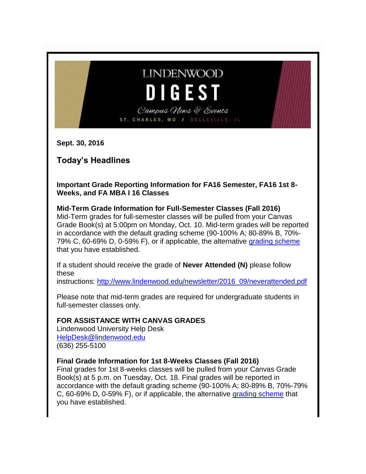# **LINDENWOOD DIGEST**

Campus News & Events ST. CHARLES, MO / BELLEVILLE,

**Sept. 30, 2016**

# **Today's Headlines**

**Important Grade Reporting Information for FA16 Semester, FA16 1st 8- Weeks, and FA MBA I 16 Classes**

**Mid-Term Grade Information for Full-Semester Classes (Fall 2016)** Mid-Term grades for full-semester classes will be pulled from your Canvas Grade Book(s) at 5:00pm on Monday, Oct. 10. Mid-term grades will be reported in accordance with the default grading scheme (90-100% A; 80-89% B, 70%- 79% C, 60-69% D, 0-59% F), or if applicable, the alternative [grading scheme](https://community.canvaslms.com/docs/DOC-2924) that you have established.

If a student should receive the grade of **Never Attended (N)** please follow these

instructions: [http://www.lindenwood.edu/newsletter/2016\\_09/neverattended.pdf](http://www.lindenwood.edu/newsletter/2016_09/neverattended.pdf)

Please note that mid-term grades are required for undergraduate students in full-semester classes only.

### **FOR ASSISTANCE WITH CANVAS GRADES**

Lindenwood University Help Desk [HelpDesk@lindenwood.edu](mailto:HelpDesk@lindenwood.edu) (636) 255-5100

#### **Final Grade Information for 1st 8-Weeks Classes (Fall 2016)**

Final grades for 1st 8-weeks classes will be pulled from your Canvas Grade Book(s) at 5 p.m. on Tuesday, Oct. 18. Final grades will be reported in accordance with the default grading scheme (90-100% A; 80-89% B, 70%-79% C, 60-69% D, 0-59% F), or if applicable, the alternative [grading scheme](https://community.canvaslms.com/docs/DOC-2924) that you have established.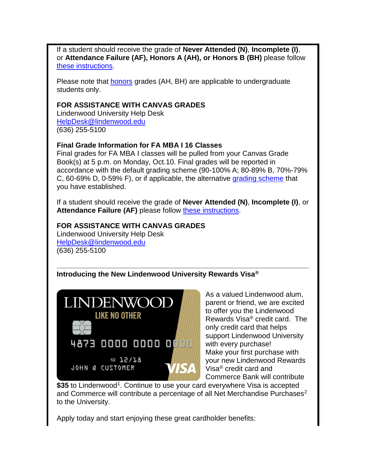If a student should receive the grade of **Never Attended (N)**, **Incomplete (I)**, or **Attendance Failure (AF), Honors A (AH), or Honors B (BH)** please follow [these instructions.](http://felix.lindenwood.edu/newsletter/2016_09/assigning_special_grades_in_canvas.pdf)

Please note that [honors](http://www.lindenwood.edu/academics/undergraduate/honors-college/) grades (AH, BH) are applicable to undergraduate students only.

#### **FOR ASSISTANCE WITH CANVAS GRADES**

Lindenwood University Help Desk [HelpDesk@lindenwood.edu](mailto:HelpDesk@lindenwood.edu) (636) 255-5100

#### **Final Grade Information for FA MBA I 16 Classes**

Final grades for FA MBA I classes will be pulled from your Canvas Grade Book(s) at 5 p.m. on Monday, Oct.10. Final grades will be reported in accordance with the default grading scheme (90-100% A; 80-89% B, 70%-79% C, 60-69% D, 0-59% F), or if applicable, the alternative [grading scheme](https://community.canvaslms.com/docs/DOC-2924) that you have established.

If a student should receive the grade of **Never Attended (N)**, **Incomplete (I)**, or Attendance Failure (AF) please follow [these instructions.](http://felix.lindenwood.edu/newsletter/2016_09/assigning_special_grades_in_canvas.pdf)

#### **FOR ASSISTANCE WITH CANVAS GRADES**

Lindenwood University Help Desk [HelpDesk@lindenwood.edu](mailto:HelpDesk@lindenwood.edu) (636) 255-5100

**Introducing the New Lindenwood University Rewards Visa®**



As a valued Lindenwood alum, parent or friend, we are excited to offer you the Lindenwood Rewards Visa® credit card. The only credit card that helps support Lindenwood University with every purchase! Make your first purchase with your new Lindenwood Rewards Visa® credit card and Commerce Bank will contribute

\$35 to Lindenwood<sup>1</sup>. Continue to use your card everywhere Visa is accepted and Commerce will contribute a percentage of all Net Merchandise Purchases<sup>2</sup> to the University.

Apply today and start enjoying these great cardholder benefits: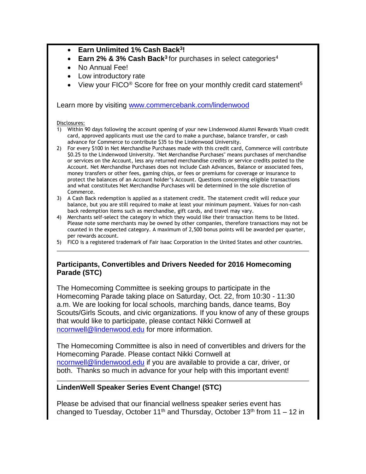#### **Earn Unlimited 1% Cash Back<sup>3</sup> !**

- **Earn 2% & 3% Cash Back<sup>3</sup> for purchases in select categories<sup>4</sup>**
- No Annual Fee!
- Low introductory rate
- View your FICO<sup>®</sup> Score for free on your monthly credit card statement<sup>5</sup>

Learn more by visiting [www.commercebank.com/lindenwood](http://www.commercebank.com/lindenwood)

#### Disclosures:

- 1) Within 90 days following the account opening of your new Lindenwood Alumni Rewards Visa® credit card, approved applicants must use the card to make a purchase, balance transfer, or cash advance for Commerce to contribute \$35 to the Lindenwood University.
- 2) For every \$100 in Net Merchandise Purchases made with this credit card, Commerce will contribute \$0.25 to the Lindenwood University. "Net Merchandise Purchases" means purchases of merchandise or services on the Account, less any returned merchandise credits or service credits posted to the Account. Net Merchandise Purchases does not include Cash Advances, Balance or associated fees, money transfers or other fees, gaming chips, or fees or premiums for coverage or insurance to protect the balances of an Account holder's Account. Questions concerning eligible transactions and what constitutes Net Merchandise Purchases will be determined in the sole discretion of Commerce.
- 3) A Cash Back redemption is applied as a statement credit. The statement credit will reduce your balance, but you are still required to make at least your minimum payment. Values for non-cash back redemption items such as merchandise, gift cards, and travel may vary.
- 4) Merchants self-select the category in which they would like their transaction items to be listed. Please note some merchants may be owned by other companies, therefore transactions may not be counted in the expected category. A maximum of 2,500 bonus points will be awarded per quarter, per rewards account.
- 5) FICO is a registered trademark of Fair Isaac Corporation in the United States and other countries.

#### **Participants, Convertibles and Drivers Needed for 2016 Homecoming Parade (STC)**

The Homecoming Committee is seeking groups to participate in the Homecoming Parade taking place on Saturday, Oct. 22, from 10:30 - 11:30 a.m. We are looking for local schools, marching bands, dance teams, Boy Scouts/Girls Scouts, and civic organizations. If you know of any of these groups that would like to participate, please contact Nikki Cornwell at [ncornwell@lindenwood.edu](mailto:ncornwell@lindenwood.edu) for more information.

The Homecoming Committee is also in need of convertibles and drivers for the Homecoming Parade. Please contact Nikki Cornwell at [ncornwell@lindenwood.edu](mailto:ncornwell@lindenwood.edu) if you are available to provide a car, driver, or both. Thanks so much in advance for your help with this important event!

#### **LindenWell Speaker Series Event Change! (STC)**

Please be advised that our financial wellness speaker series event has changed to Tuesday, October 11<sup>th</sup> and Thursday, October 13<sup>th</sup> from 11 – 12 in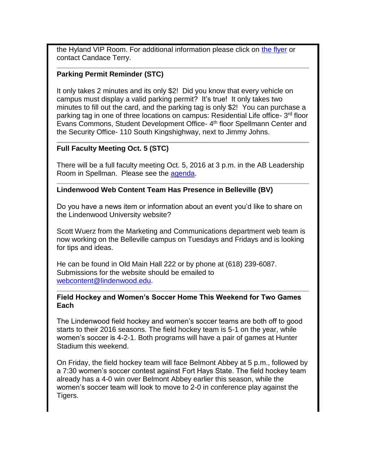the Hyland VIP Room. For additional information please click on [the flyer](http://felix.lindenwood.edu/newsletter/2016_09/retirement.pdf) or contact Candace Terry.

#### **Parking Permit Reminder (STC)**

It only takes 2 minutes and its only \$2! Did you know that every vehicle on campus must display a valid parking permit? It's true! It only takes two minutes to fill out the card, and the parking tag is only \$2! You can purchase a parking tag in one of three locations on campus: Residential Life office- 3<sup>rd</sup> floor Evans Commons, Student Development Office- 4<sup>th</sup> floor Spellmann Center and the Security Office- 110 South Kingshighway, next to Jimmy Johns.

#### **Full Faculty Meeting Oct. 5 (STC)**

There will be a full faculty meeting Oct. 5, 2016 at 3 p.m. in the AB Leadership Room in Spellman. Please see the [agenda.](http://felix.lindenwood.edu/newsletter/2016_09/faculty_agenda.pdf)

#### **Lindenwood Web Content Team Has Presence in Belleville (BV)**

Do you have a news item or information about an event you'd like to share on the Lindenwood University website?

Scott Wuerz from the Marketing and Communications department web team is now working on the Belleville campus on Tuesdays and Fridays and is looking for tips and ideas.

He can be found in Old Main Hall 222 or by phone at (618) 239-6087. Submissions for the website should be emailed to [webcontent@lindenwood.edu.](mailto:webcontent@lindenwood.edu)

#### **Field Hockey and Women's Soccer Home This Weekend for Two Games Each**

The Lindenwood field hockey and women's soccer teams are both off to good starts to their 2016 seasons. The field hockey team is 5-1 on the year, while women's soccer is 4-2-1. Both programs will have a pair of games at Hunter Stadium this weekend.

On Friday, the field hockey team will face Belmont Abbey at 5 p.m., followed by a 7:30 women's soccer contest against Fort Hays State. The field hockey team already has a 4-0 win over Belmont Abbey earlier this season, while the women's soccer team will look to move to 2-0 in conference play against the Tigers.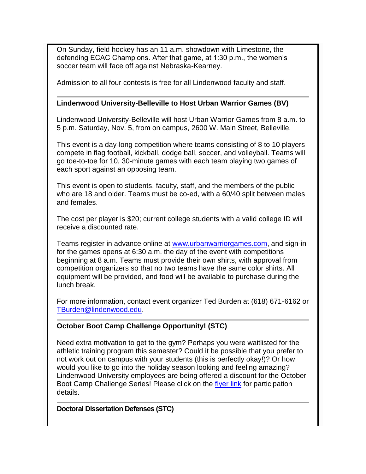On Sunday, field hockey has an 11 a.m. showdown with Limestone, the defending ECAC Champions. After that game, at 1:30 p.m., the women's soccer team will face off against Nebraska-Kearney.

Admission to all four contests is free for all Lindenwood faculty and staff.

#### **Lindenwood University-Belleville to Host Urban Warrior Games (BV)**

Lindenwood University-Belleville will host Urban Warrior Games from 8 a.m. to 5 p.m. Saturday, Nov. 5, from on campus, 2600 W. Main Street, Belleville.

This event is a day-long competition where teams consisting of 8 to 10 players compete in flag football, kickball, dodge ball, soccer, and volleyball. Teams will go toe-to-toe for 10, 30-minute games with each team playing two games of each sport against an opposing team.

This event is open to students, faculty, staff, and the members of the public who are 18 and older. Teams must be co-ed, with a 60/40 split between males and females.

The cost per player is \$20; current college students with a valid college ID will receive a discounted rate.

Teams register in advance online at [www.urbanwarriorgames.com,](http://www.urbanwarriorgames.com/) and sign-in for the games opens at 6:30 a.m. the day of the event with competitions beginning at 8 a.m. Teams must provide their own shirts, with approval from competition organizers so that no two teams have the same color shirts. All equipment will be provided, and food will be available to purchase during the lunch break.

For more information, contact event organizer Ted Burden at (618) 671-6162 or [TBurden@lindenwood.edu.](mailto:TBurden@lindenwood.edu)

#### **October Boot Camp Challenge Opportunity! (STC)**

Need extra motivation to get to the gym? Perhaps you were waitlisted for the athletic training program this semester? Could it be possible that you prefer to not work out on campus with your students (this is perfectly okay!)? Or how would you like to go into the holiday season looking and feeling amazing? Lindenwood University employees are being offered a discount for the October Boot Camp Challenge Series! Please click on the [flyer link](http://felix.lindenwood.edu/newsletter/2016_09/bcc_oct.pdf) for participation details.

**Doctoral Dissertation Defenses (STC)**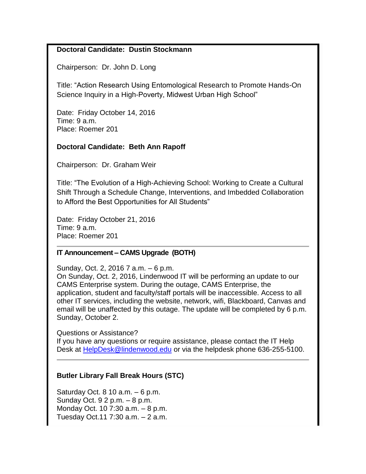### **Doctoral Candidate: Dustin Stockmann**

Chairperson: Dr. John D. Long

Title: "Action Research Using Entomological Research to Promote Hands-On Science Inquiry in a High-Poverty, Midwest Urban High School"

Date: Friday October 14, 2016 Time: 9 a.m. Place: Roemer 201

#### **Doctoral Candidate: Beth Ann Rapoff**

Chairperson: Dr. Graham Weir

Title: "The Evolution of a High-Achieving School: Working to Create a Cultural Shift Through a Schedule Change, Interventions, and Imbedded Collaboration to Afford the Best Opportunities for All Students"

Date: Friday October 21, 2016 Time: 9 a.m. Place: Roemer 201

#### **IT Announcement – CAMS Upgrade (BOTH)**

Sunday, Oct. 2, 2016 7 a.m. – 6 p.m.

On Sunday, Oct. 2, 2016, Lindenwood IT will be performing an update to our CAMS Enterprise system. During the outage, CAMS Enterprise, the application, student and faculty/staff portals will be inaccessible. Access to all other IT services, including the website, network, wifi, Blackboard, Canvas and email will be unaffected by this outage. The update will be completed by 6 p.m. Sunday, October 2.

Questions or Assistance?

If you have any questions or require assistance, please contact the IT Help Desk at [HelpDesk@lindenwood.edu](mailto:HelpDesk@lindenwood.edu) or via the helpdesk phone 636-255-5100.

### **Butler Library Fall Break Hours (STC)**

Saturday Oct.  $810$  a.m.  $-6$  p.m. Sunday Oct. 9 2 p.m. – 8 p.m. Monday Oct. 10 7:30 a.m. – 8 p.m. Tuesday Oct.11 7:30 a.m. – 2 a.m.